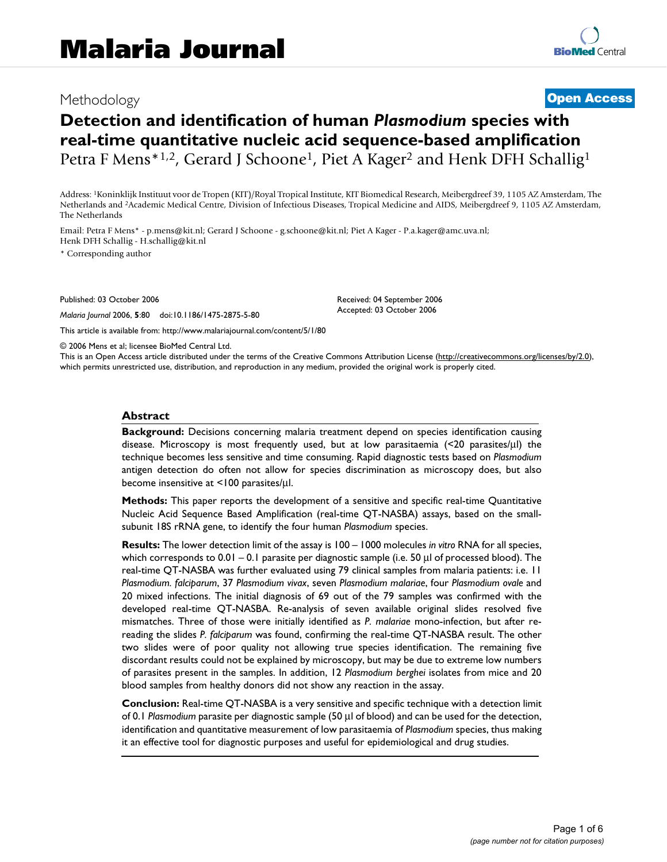# Methodology **[Open Access](http://www.biomedcentral.com/info/about/charter/)**

# **Detection and identification of human** *Plasmodium* **species with real-time quantitative nucleic acid sequence-based amplification** Petra F Mens<sup>\*1,2</sup>, Gerard J Schoone<sup>1</sup>, Piet A Kager<sup>2</sup> and Henk DFH Schallig<sup>1</sup>

Address: 1Koninklijk Instituut voor de Tropen (KIT)/Royal Tropical Institute, KIT Biomedical Research, Meibergdreef 39, 1105 AZ Amsterdam, The Netherlands and 2Academic Medical Centre, Division of Infectious Diseases, Tropical Medicine and AIDS, Meibergdreef 9, 1105 AZ Amsterdam, The Netherlands

Email: Petra F Mens\* - p.mens@kit.nl; Gerard J Schoone - g.schoone@kit.nl; Piet A Kager - P.a.kager@amc.uva.nl; Henk DFH Schallig - H.schallig@kit.nl

\* Corresponding author

Published: 03 October 2006

*Malaria Journal* 2006, **5**:80 doi:10.1186/1475-2875-5-80

[This article is available from: http://www.malariajournal.com/content/5/1/80](http://www.malariajournal.com/content/5/1/80)

Received: 04 September 2006 Accepted: 03 October 2006

© 2006 Mens et al; licensee BioMed Central Ltd.

This is an Open Access article distributed under the terms of the Creative Commons Attribution License [\(http://creativecommons.org/licenses/by/2.0\)](http://creativecommons.org/licenses/by/2.0), which permits unrestricted use, distribution, and reproduction in any medium, provided the original work is properly cited.

### **Abstract**

**Background:** Decisions concerning malaria treatment depend on species identification causing disease. Microscopy is most frequently used, but at low parasitaemia (<20 parasites/μl) the technique becomes less sensitive and time consuming. Rapid diagnostic tests based on *Plasmodium* antigen detection do often not allow for species discrimination as microscopy does, but also become insensitive at <100 parasites/μl.

**Methods:** This paper reports the development of a sensitive and specific real-time Quantitative Nucleic Acid Sequence Based Amplification (real-time QT-NASBA) assays, based on the smallsubunit 18S rRNA gene, to identify the four human *Plasmodium* species.

**Results:** The lower detection limit of the assay is 100 – 1000 molecules *in vitro* RNA for all species, which corresponds to 0.01 – 0.1 parasite per diagnostic sample (i.e. 50 μl of processed blood). The real-time QT-NASBA was further evaluated using 79 clinical samples from malaria patients: i.e. 11 *Plasmodium. falciparum*, 37 *Plasmodium vivax*, seven *Plasmodium malariae*, four *Plasmodium ovale* and 20 mixed infections. The initial diagnosis of 69 out of the 79 samples was confirmed with the developed real-time QT-NASBA. Re-analysis of seven available original slides resolved five mismatches. Three of those were initially identified as *P. malariae* mono-infection, but after rereading the slides *P. falciparum* was found, confirming the real-time QT-NASBA result. The other two slides were of poor quality not allowing true species identification. The remaining five discordant results could not be explained by microscopy, but may be due to extreme low numbers of parasites present in the samples. In addition, 12 *Plasmodium berghei* isolates from mice and 20 blood samples from healthy donors did not show any reaction in the assay.

**Conclusion:** Real-time QT-NASBA is a very sensitive and specific technique with a detection limit of 0.1 *Plasmodium* parasite per diagnostic sample (50 μl of blood) and can be used for the detection, identification and quantitative measurement of low parasitaemia of *Plasmodium* species, thus making it an effective tool for diagnostic purposes and useful for epidemiological and drug studies.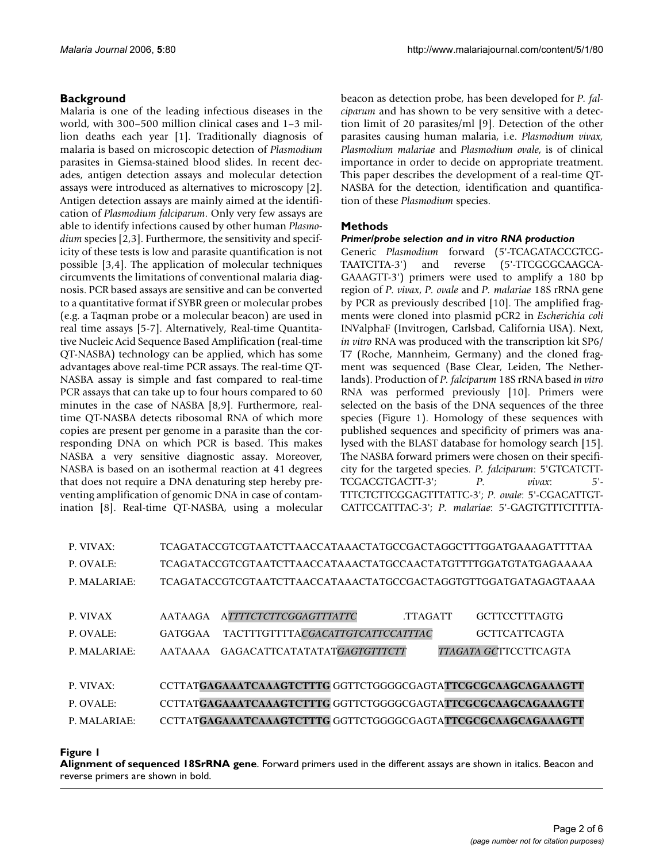# **Background**

Malaria is one of the leading infectious diseases in the world, with 300–500 million clinical cases and 1–3 million deaths each year [1]. Traditionally diagnosis of malaria is based on microscopic detection of *Plasmodium* parasites in Giemsa-stained blood slides. In recent decades, antigen detection assays and molecular detection assays were introduced as alternatives to microscopy [2]. Antigen detection assays are mainly aimed at the identification of *Plasmodium falciparum*. Only very few assays are able to identify infections caused by other human *Plasmodium* species [2,3]. Furthermore, the sensitivity and specificity of these tests is low and parasite quantification is not possible [3,4]. The application of molecular techniques circumvents the limitations of conventional malaria diagnosis. PCR based assays are sensitive and can be converted to a quantitative format if SYBR green or molecular probes (e.g. a Taqman probe or a molecular beacon) are used in real time assays [5-7]. Alternatively, Real-time Quantitative Nucleic Acid Sequence Based Amplification (real-time QT-NASBA) technology can be applied, which has some advantages above real-time PCR assays. The real-time QT-NASBA assay is simple and fast compared to real-time PCR assays that can take up to four hours compared to 60 minutes in the case of NASBA [8,9]. Furthermore, realtime QT-NASBA detects ribosomal RNA of which more copies are present per genome in a parasite than the corresponding DNA on which PCR is based. This makes NASBA a very sensitive diagnostic assay. Moreover, NASBA is based on an isothermal reaction at 41 degrees that does not require a DNA denaturing step hereby preventing amplification of genomic DNA in case of contamination [8]. Real-time QT-NASBA, using a molecular beacon as detection probe, has been developed for *P. falciparum* and has shown to be very sensitive with a detection limit of 20 parasites/ml [9]. Detection of the other parasites causing human malaria, i.e. *Plasmodium vivax, Plasmodium malariae* and *Plasmodium ovale*, is of clinical importance in order to decide on appropriate treatment. This paper describes the development of a real-time QT-NASBA for the detection, identification and quantification of these *Plasmodium* species.

# **Methods**

# *Primer/probe selection and in vitro RNA production*

Generic *Plasmodium* forward (5'-TCAGATACCGTCG-TAATCTTA-3') and reverse (5'-TTCGCGCAAGCA-GAAAGTT-3') primers were used to amplify a 180 bp region of *P. vivax*, *P. ovale* and *P. malariae* 18S rRNA gene by PCR as previously described [10]. The amplified fragments were cloned into plasmid pCR2 in *Escherichia coli* INValphaF (Invitrogen, Carlsbad, California USA). Next, *in vitro* RNA was produced with the transcription kit SP6/ T7 (Roche, Mannheim, Germany) and the cloned fragment was sequenced (Base Clear, Leiden, The Netherlands). Production of *P. falciparum* 18S rRNA based *in vitro* RNA was performed previously [10]. Primers were selected on the basis of the DNA sequences of the three species (Figure 1). Homology of these sequences with published sequences and specificity of primers was analysed with the BLAST database for homology search [15]. The NASBA forward primers were chosen on their specificity for the targeted species. *P. falciparum*: 5'GTCATCTT-TCGACGTGACTT-3'; *P. vivax*: 5'- TTTCTCTTCGGAGTTTATTC-3'; *P. ovale*: 5'-CGACATTGT-CATTCCATTTAC-3'; *P. malariae*: 5'-GAGTGTTTCTTTTA-

| TCAGATACCGTCGTAATCTTAACCATAAACTATGCCGACTAGGCTTTGGATGAAAGATTTTAA                    |
|------------------------------------------------------------------------------------|
| TCAGATACCGTCGTAATCTTAACCATAAACTATGCCAACTATGTTTTGGATGTATGAGAAAAA                    |
| TCAGATACCGTCGTAATCTTAACCATAAACTATGCCGACTAGGTGTTGGATGATAGAGTAAAA                    |
|                                                                                    |
| <b>ATTTTCTCTTCGGAGTTTATTC</b><br><b>GCTTCCTTTAGTG</b><br>AATAAGA<br><b>TTAGATT</b> |
| TACTTTGTTTTACGACATTGTCATTCCATTTAC<br><b>GCTTCATTCAGTA</b><br>GATGGAA               |
| GAGACATTCATATATATGAGTGTTTCTT<br><i>TTAGATA GC</i> TTCCTTCAGTA<br>AATAAAA           |
|                                                                                    |
| CCTTATGAGAAATCAAAGTCTTTG GGTTCTGGGGCGAGTATTCGCGCAAGCAGAAAGTT                       |
| CCTTATGAGAAATCAAAGTCTTTG GGTTCTGGGGCGAGTATTCGCGCAAGCAGAAAGTT                       |
| CCTTATGAGAAATCAAAGTCTTTG GGTTCTGGGGCGAGTATTCGCGCAAGCAGAAAGTT                       |
|                                                                                    |

**Figure 1** 

**Alignment of sequenced 18SrRNA gene**. Forward primers used in the different assays are shown in italics. Beacon and reverse primers are shown in bold.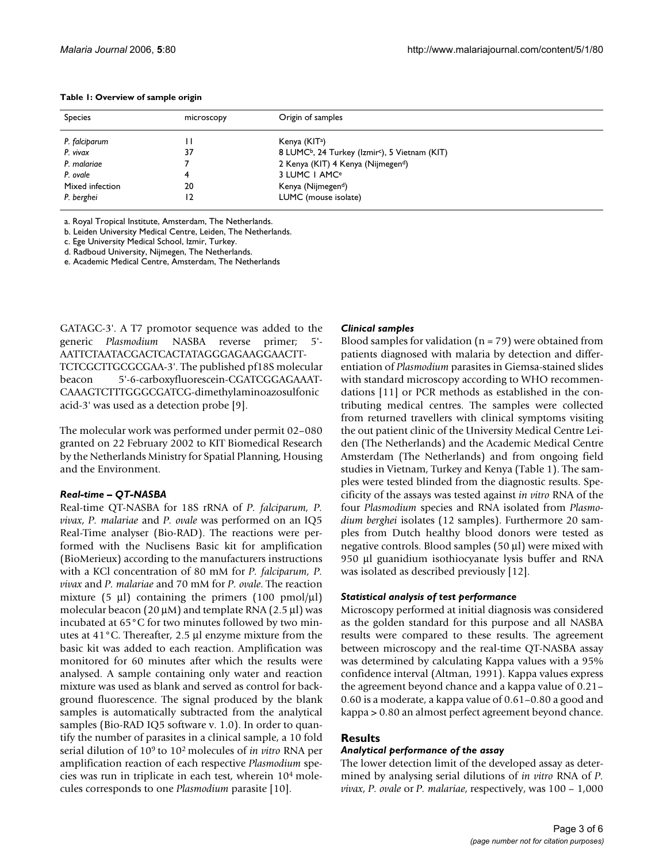| <b>Species</b>  | microscopy | Origin of samples                                                      |  |
|-----------------|------------|------------------------------------------------------------------------|--|
| P. falciparum   |            | Kenya (KIT <sup>a</sup> )                                              |  |
| P. vivax        | 37         | 8 LUMC <sup>b</sup> , 24 Turkey (Izmir <sup>c</sup> ), 5 Vietnam (KIT) |  |
| P. malariae     |            | 2 Kenya (KIT) 4 Kenya (Nijmegen <sup>d</sup> )                         |  |
| P. ovale        |            | 3 LUMC I AMC <sup>e</sup>                                              |  |
| Mixed infection | 20         | Kenya (Nijmegen <sup>d</sup> )                                         |  |
| P. berghei      |            | LUMC (mouse isolate)                                                   |  |

#### **Table 1: Overview of sample origin**

a. Royal Tropical Institute, Amsterdam, The Netherlands.

b. Leiden University Medical Centre, Leiden, The Netherlands.

c. Ege University Medical School, Izmir, Turkey.

d. Radboud University, Nijmegen, The Netherlands.

e. Academic Medical Centre, Amsterdam, The Netherlands

GATAGC-3'. A T7 promotor sequence was added to the generic *Plasmodium* NASBA reverse primer; 5'- AATTCTAATACGACTCACTATAGGGAGAAGGAACTT-TCTCGCTTGCGCGAA-3'. The published pf18S molecular beacon 5'-6-carboxyfluorescein-CGATCGGAGAAAT-CAAAGTCTTTGGGCGATCG-dimethylaminoazosulfonic acid-3' was used as a detection probe [9].

The molecular work was performed under permit 02–080 granted on 22 February 2002 to KIT Biomedical Research by the Netherlands Ministry for Spatial Planning, Housing and the Environment.

# *Real-time – QT-NASBA*

Real-time QT-NASBA for 18S rRNA of *P. falciparum, P. vivax*, *P. malariae* and *P. ovale* was performed on an IQ5 Real-Time analyser (Bio-RAD). The reactions were performed with the Nuclisens Basic kit for amplification (BioMerieux) according to the manufacturers instructions with a KCl concentration of 80 mM for *P. falciparum, P. vivax* and *P. malariae* and 70 mM for *P. ovale*. The reaction mixture (5  $\mu$ l) containing the primers (100 pmol/ $\mu$ l) molecular beacon (20  $\mu$ M) and template RNA (2.5  $\mu$ l) was incubated at 65°C for two minutes followed by two minutes at 41°C. Thereafter, 2.5 μl enzyme mixture from the basic kit was added to each reaction. Amplification was monitored for 60 minutes after which the results were analysed. A sample containing only water and reaction mixture was used as blank and served as control for background fluorescence. The signal produced by the blank samples is automatically subtracted from the analytical samples (Bio-RAD IQ5 software v. 1.0). In order to quantify the number of parasites in a clinical sample, a 10 fold serial dilution of 109 to 102 molecules of *in vitro* RNA per amplification reaction of each respective *Plasmodium* species was run in triplicate in each test, wherein 104 molecules corresponds to one *Plasmodium* parasite [10].

# *Clinical samples*

Blood samples for validation  $(n = 79)$  were obtained from patients diagnosed with malaria by detection and differentiation of *Plasmodium* parasites in Giemsa-stained slides with standard microscopy according to WHO recommendations [11] or PCR methods as established in the contributing medical centres. The samples were collected from returned travellers with clinical symptoms visiting the out patient clinic of the University Medical Centre Leiden (The Netherlands) and the Academic Medical Centre Amsterdam (The Netherlands) and from ongoing field studies in Vietnam, Turkey and Kenya (Table 1). The samples were tested blinded from the diagnostic results. Specificity of the assays was tested against *in vitro* RNA of the four *Plasmodium* species and RNA isolated from *Plasmodium berghei* isolates (12 samples). Furthermore 20 samples from Dutch healthy blood donors were tested as negative controls. Blood samples (50 μl) were mixed with 950 μl guanidium isothiocyanate lysis buffer and RNA was isolated as described previously [12].

# *Statistical analysis of test performance*

Microscopy performed at initial diagnosis was considered as the golden standard for this purpose and all NASBA results were compared to these results. The agreement between microscopy and the real-time QT-NASBA assay was determined by calculating Kappa values with a 95% confidence interval (Altman, 1991). Kappa values express the agreement beyond chance and a kappa value of 0.21– 0.60 is a moderate, a kappa value of 0.61–0.80 a good and kappa > 0.80 an almost perfect agreement beyond chance.

# **Results**

# *Analytical performance of the assay*

The lower detection limit of the developed assay as determined by analysing serial dilutions of *in vitro* RNA of *P. vivax*, *P. ovale* or *P. malariae*, respectively, was 100 – 1,000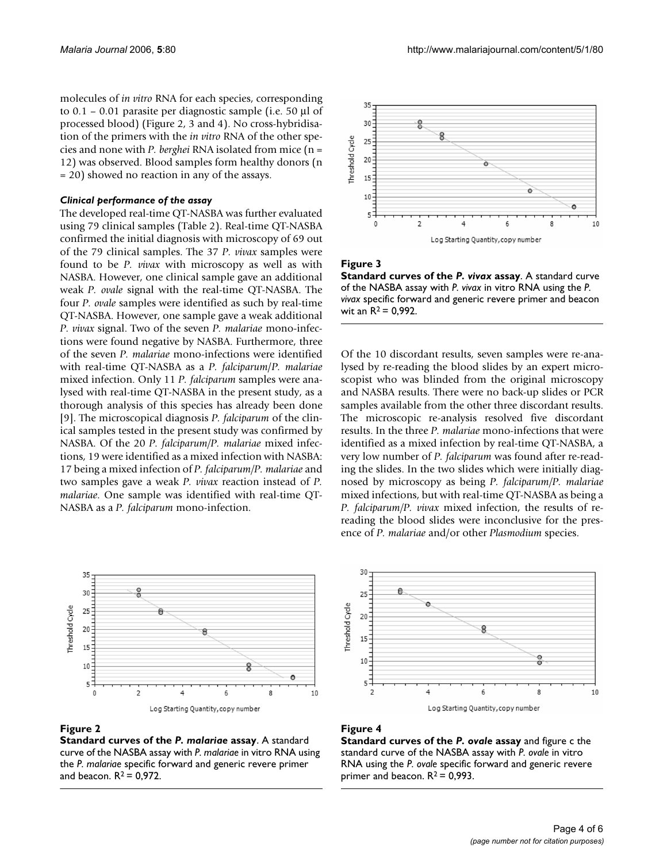molecules of *in vitro* RNA for each species, corresponding to 0.1 – 0.01 parasite per diagnostic sample (i.e. 50 μl of processed blood) (Figure 2, 3 and 4). No cross-hybridisation of the primers with the *in vitro* RNA of the other species and none with *P. berghei* RNA isolated from mice (n = 12) was observed. Blood samples form healthy donors (n = 20) showed no reaction in any of the assays.

#### *Clinical performance of the assay*

The developed real-time QT-NASBA was further evaluated using 79 clinical samples (Table 2). Real-time QT-NASBA confirmed the initial diagnosis with microscopy of 69 out of the 79 clinical samples. The 37 *P. vivax* samples were found to be *P. vivax* with microscopy as well as with NASBA. However, one clinical sample gave an additional weak *P. ovale* signal with the real-time QT-NASBA. The four *P. ovale* samples were identified as such by real-time QT-NASBA. However, one sample gave a weak additional *P. vivax* signal. Two of the seven *P. malariae* mono-infections were found negative by NASBA. Furthermore, three of the seven *P. malariae* mono-infections were identified with real-time QT-NASBA as a *P. falciparum*/*P. malariae* mixed infection. Only 11 *P. falciparum* samples were analysed with real-time QT-NASBA in the present study, as a thorough analysis of this species has already been done [9]. The microscopical diagnosis *P. falciparum* of the clinical samples tested in the present study was confirmed by NASBA. Of the 20 *P. falciparum/P. malariae* mixed infections, 19 were identified as a mixed infection with NASBA: 17 being a mixed infection of *P. falciparum/P. malariae* and two samples gave a weak *P. vivax* reaction instead of *P. malariae*. One sample was identified with real-time QT-NASBA as a *P. falciparum* mono-infection.



#### **Figure 2**

**Standard curves of the** *P. malariae* **assay**. A standard curve of the NASBA assay with *P. malariae* in vitro RNA using the *P. malariae* specific forward and generic revere primer and beacon.  $R^2$  = 0,972.



# **Figure 3**

**Standard curves of the** *P. vivax* **assay**. A standard curve of the NASBA assay with *P. vivax* in vitro RNA using the *P. vivax* specific forward and generic revere primer and beacon wit an  $R^2 = 0.992$ .

Of the 10 discordant results, seven samples were re-analysed by re-reading the blood slides by an expert microscopist who was blinded from the original microscopy and NASBA results. There were no back-up slides or PCR samples available from the other three discordant results. The microscopic re-analysis resolved five discordant results. In the three *P. malariae* mono-infections that were identified as a mixed infection by real-time QT-NASBA, a very low number of *P. falciparum* was found after re-reading the slides. In the two slides which were initially diagnosed by microscopy as being *P. falciparum/P. malariae* mixed infections, but with real-time QT-NASBA as being a *P. falciparum/P. vivax* mixed infection, the results of rereading the blood slides were inconclusive for the presence of *P. malariae* and/or other *Plasmodium* species.



#### **Figure 4**

**Standard curves of the** *P. ovale* **assay** and figure c the standard curve of the NASBA assay with *P. ovale* in vitro RNA using the *P. ovale* specific forward and generic revere primer and beacon.  $R^2 = 0.993$ .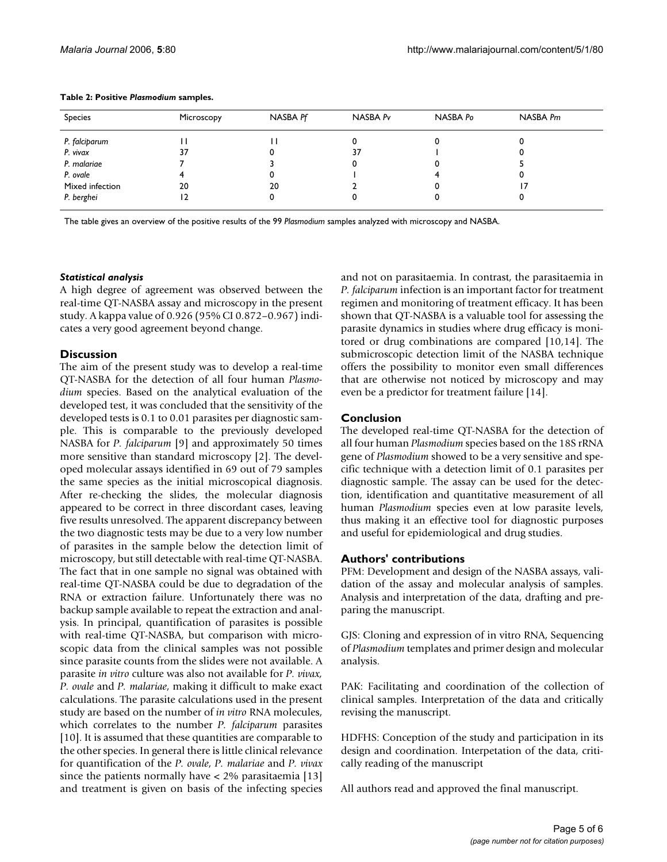| Species         | Microscopy | NASBA Pf | NASBA Pv | NASBA Po | NASBA Pm |
|-----------------|------------|----------|----------|----------|----------|
| P. falciparum   |            |          |          |          |          |
| P. vivax        | 37         |          | 37       |          |          |
| P. malariae     |            |          |          |          |          |
| P. ovale        |            |          |          |          |          |
| Mixed infection | 20         | 20       |          |          |          |
| P. berghei      |            |          |          |          |          |

#### **Table 2: Positive** *Plasmodium* **samples.**

The table gives an overview of the positive results of the 99 *Plasmodium* samples analyzed with microscopy and NASBA.

#### *Statistical analysis*

A high degree of agreement was observed between the real-time QT-NASBA assay and microscopy in the present study. A kappa value of 0.926 (95% CI 0.872–0.967) indicates a very good agreement beyond change.

# **Discussion**

The aim of the present study was to develop a real-time QT-NASBA for the detection of all four human *Plasmodium* species. Based on the analytical evaluation of the developed test, it was concluded that the sensitivity of the developed tests is 0.1 to 0.01 parasites per diagnostic sample. This is comparable to the previously developed NASBA for *P. falciparum* [9] and approximately 50 times more sensitive than standard microscopy [2]. The developed molecular assays identified in 69 out of 79 samples the same species as the initial microscopical diagnosis. After re-checking the slides, the molecular diagnosis appeared to be correct in three discordant cases, leaving five results unresolved. The apparent discrepancy between the two diagnostic tests may be due to a very low number of parasites in the sample below the detection limit of microscopy, but still detectable with real-time QT-NASBA. The fact that in one sample no signal was obtained with real-time QT-NASBA could be due to degradation of the RNA or extraction failure. Unfortunately there was no backup sample available to repeat the extraction and analysis. In principal, quantification of parasites is possible with real-time QT-NASBA, but comparison with microscopic data from the clinical samples was not possible since parasite counts from the slides were not available. A parasite *in vitro* culture was also not available for *P. vivax, P. ovale* and *P. malariae*, making it difficult to make exact calculations. The parasite calculations used in the present study are based on the number of *in vitro* RNA molecules, which correlates to the number *P. falciparum* parasites [10]. It is assumed that these quantities are comparable to the other species. In general there is little clinical relevance for quantification of the *P. ovale*, *P. malariae* and *P. vivax* since the patients normally have < 2% parasitaemia [13] and treatment is given on basis of the infecting species and not on parasitaemia. In contrast, the parasitaemia in *P. falciparum* infection is an important factor for treatment regimen and monitoring of treatment efficacy. It has been shown that QT-NASBA is a valuable tool for assessing the parasite dynamics in studies where drug efficacy is monitored or drug combinations are compared [10,14]. The submicroscopic detection limit of the NASBA technique offers the possibility to monitor even small differences that are otherwise not noticed by microscopy and may even be a predictor for treatment failure [14].

# **Conclusion**

The developed real-time QT-NASBA for the detection of all four human *Plasmodium* species based on the 18S rRNA gene of *Plasmodium* showed to be a very sensitive and specific technique with a detection limit of 0.1 parasites per diagnostic sample. The assay can be used for the detection, identification and quantitative measurement of all human *Plasmodium* species even at low parasite levels, thus making it an effective tool for diagnostic purposes and useful for epidemiological and drug studies.

# **Authors' contributions**

PFM: Development and design of the NASBA assays, validation of the assay and molecular analysis of samples. Analysis and interpretation of the data, drafting and preparing the manuscript.

GJS: Cloning and expression of in vitro RNA, Sequencing of *Plasmodium* templates and primer design and molecular analysis.

PAK: Facilitating and coordination of the collection of clinical samples. Interpretation of the data and critically revising the manuscript.

HDFHS: Conception of the study and participation in its design and coordination. Interpetation of the data, critically reading of the manuscript

All authors read and approved the final manuscript.